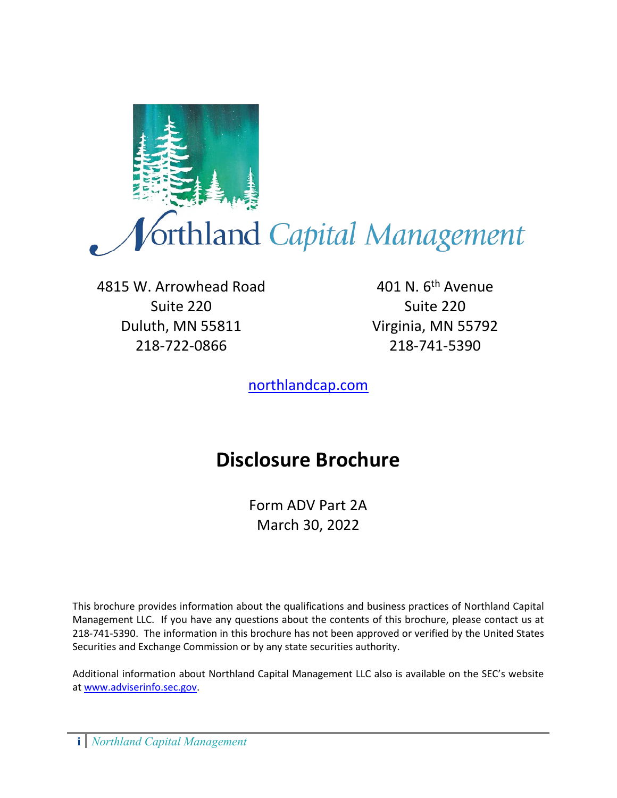

4815 W. Arrowhead Road Suite 220 Duluth, MN 55811 218-722-0866

401 N. 6th Avenue Suite 220 Virginia, MN 55792 218-741-5390

[northlandcap.com](http://www.northlandcap.com/)

## **Disclosure Brochure**

Form ADV Part 2A March 30, 2022

This brochure provides information about the qualifications and business practices of Northland Capital Management LLC. If you have any questions about the contents of this brochure, please contact us at 218-741-5390. The information in this brochure has not been approved or verified by the United States Securities and Exchange Commission or by any state securities authority.

Additional information about Northland Capital Management LLC also is available on the SEC's website at [www.adviserinfo.sec.gov.](http://www.adviserinfo.sec.gov/)

**i** *Northland Capital Management*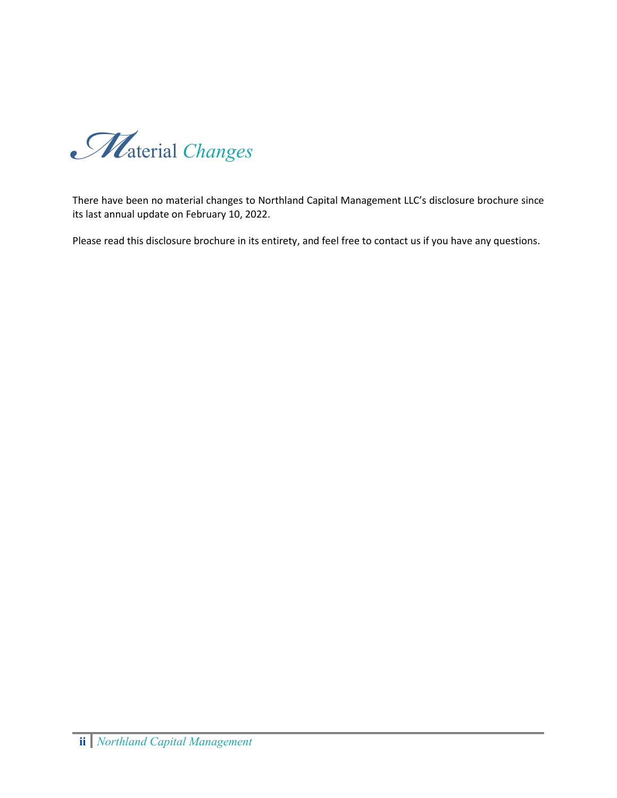

There have been no material changes to Northland Capital Management LLC's disclosure brochure since its last annual update on February 10, 2022.

Please read this disclosure brochure in its entirety, and feel free to contact us if you have any questions.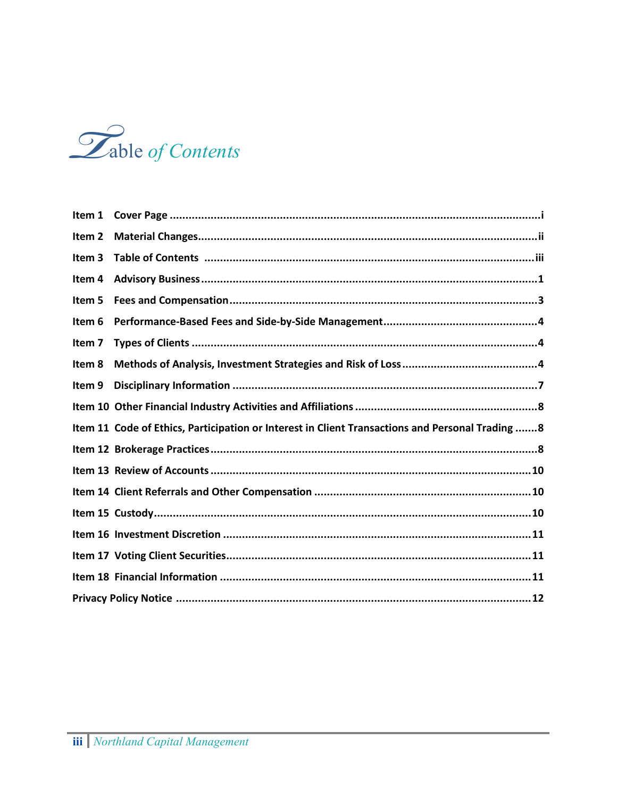

| Item 1            |                                                                                                  |
|-------------------|--------------------------------------------------------------------------------------------------|
| Item <sub>2</sub> |                                                                                                  |
| Item 3            |                                                                                                  |
| Item 4            |                                                                                                  |
| Item 5            |                                                                                                  |
| Item 6            |                                                                                                  |
| Item <sub>7</sub> |                                                                                                  |
| Item 8            |                                                                                                  |
| Item 9            |                                                                                                  |
|                   |                                                                                                  |
|                   | Item 11 Code of Ethics, Participation or Interest in Client Transactions and Personal Trading  8 |
|                   |                                                                                                  |
|                   |                                                                                                  |
|                   |                                                                                                  |
|                   |                                                                                                  |
|                   |                                                                                                  |
|                   |                                                                                                  |
|                   |                                                                                                  |
|                   |                                                                                                  |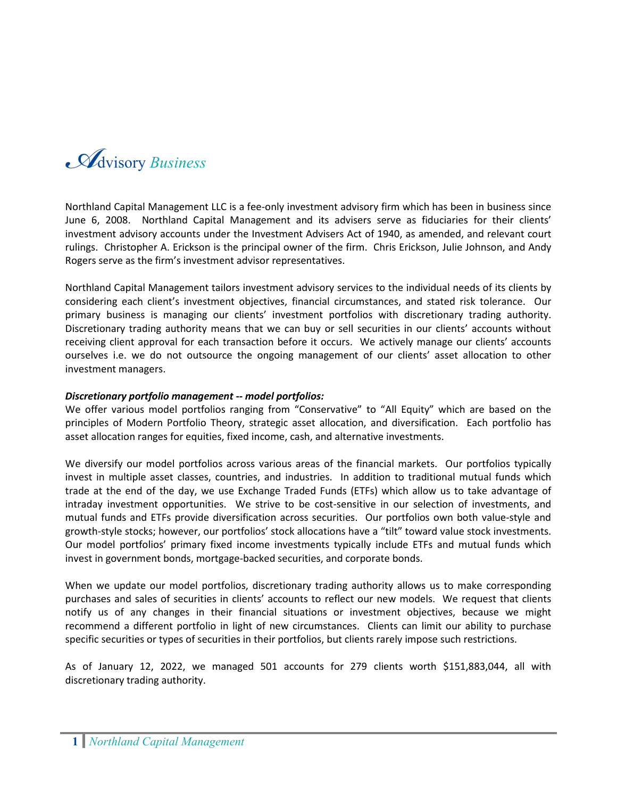

Northland Capital Management LLC is a fee-only investment advisory firm which has been in business since June 6, 2008. Northland Capital Management and its advisers serve as fiduciaries for their clients' investment advisory accounts under the Investment Advisers Act of 1940, as amended, and relevant court rulings. Christopher A. Erickson is the principal owner of the firm. Chris Erickson, Julie Johnson, and Andy Rogers serve as the firm's investment advisor representatives.

Northland Capital Management tailors investment advisory services to the individual needs of its clients by considering each client's investment objectives, financial circumstances, and stated risk tolerance. Our primary business is managing our clients' investment portfolios with discretionary trading authority. Discretionary trading authority means that we can buy or sell securities in our clients' accounts without receiving client approval for each transaction before it occurs. We actively manage our clients' accounts ourselves i.e. we do not outsource the ongoing management of our clients' asset allocation to other investment managers.

#### *Discretionary portfolio management -- model portfolios:*

We offer various model portfolios ranging from "Conservative" to "All Equity" which are based on the principles of Modern Portfolio Theory, strategic asset allocation, and diversification. Each portfolio has asset allocation ranges for equities, fixed income, cash, and alternative investments.

We diversify our model portfolios across various areas of the financial markets. Our portfolios typically invest in multiple asset classes, countries, and industries. In addition to traditional mutual funds which trade at the end of the day, we use Exchange Traded Funds (ETFs) which allow us to take advantage of intraday investment opportunities. We strive to be cost-sensitive in our selection of investments, and mutual funds and ETFs provide diversification across securities. Our portfolios own both value-style and growth-style stocks; however, our portfolios' stock allocations have a "tilt" toward value stock investments. Our model portfolios' primary fixed income investments typically include ETFs and mutual funds which invest in government bonds, mortgage-backed securities, and corporate bonds.

When we update our model portfolios, discretionary trading authority allows us to make corresponding purchases and sales of securities in clients' accounts to reflect our new models. We request that clients notify us of any changes in their financial situations or investment objectives, because we might recommend a different portfolio in light of new circumstances. Clients can limit our ability to purchase specific securities or types of securities in their portfolios, but clients rarely impose such restrictions.

As of January 12, 2022, we managed 501 accounts for 279 clients worth \$151,883,044, all with discretionary trading authority.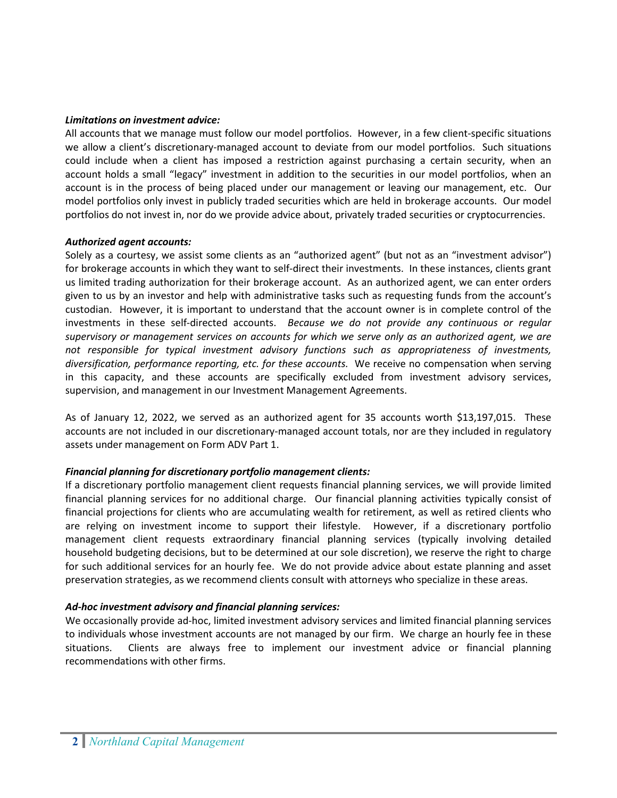#### *Limitations on investment advice:*

All accounts that we manage must follow our model portfolios. However, in a few client-specific situations we allow a client's discretionary-managed account to deviate from our model portfolios. Such situations could include when a client has imposed a restriction against purchasing a certain security, when an account holds a small "legacy" investment in addition to the securities in our model portfolios, when an account is in the process of being placed under our management or leaving our management, etc. Our model portfolios only invest in publicly traded securities which are held in brokerage accounts. Our model portfolios do not invest in, nor do we provide advice about, privately traded securities or cryptocurrencies.

### *Authorized agent accounts:*

Solely as a courtesy, we assist some clients as an "authorized agent" (but not as an "investment advisor") for brokerage accounts in which they want to self-direct their investments. In these instances, clients grant us limited trading authorization for their brokerage account. As an authorized agent, we can enter orders given to us by an investor and help with administrative tasks such as requesting funds from the account's custodian. However, it is important to understand that the account owner is in complete control of the investments in these self-directed accounts. *Because we do not provide any continuous or regular supervisory or management services on accounts for which we serve only as an authorized agent, we are not responsible for typical investment advisory functions such as appropriateness of investments, diversification, performance reporting, etc. for these accounts.* We receive no compensation when serving in this capacity, and these accounts are specifically excluded from investment advisory services, supervision, and management in our Investment Management Agreements.

As of January 12, 2022, we served as an authorized agent for 35 accounts worth \$13,197,015. These accounts are not included in our discretionary-managed account totals, nor are they included in regulatory assets under management on Form ADV Part 1.

### *Financial planning for discretionary portfolio management clients:*

If a discretionary portfolio management client requests financial planning services, we will provide limited financial planning services for no additional charge. Our financial planning activities typically consist of financial projections for clients who are accumulating wealth for retirement, as well as retired clients who are relying on investment income to support their lifestyle. However, if a discretionary portfolio management client requests extraordinary financial planning services (typically involving detailed household budgeting decisions, but to be determined at our sole discretion), we reserve the right to charge for such additional services for an hourly fee. We do not provide advice about estate planning and asset preservation strategies, as we recommend clients consult with attorneys who specialize in these areas.

### *Ad-hoc investment advisory and financial planning services:*

We occasionally provide ad-hoc, limited investment advisory services and limited financial planning services to individuals whose investment accounts are not managed by our firm. We charge an hourly fee in these situations. Clients are always free to implement our investment advice or financial planning recommendations with other firms.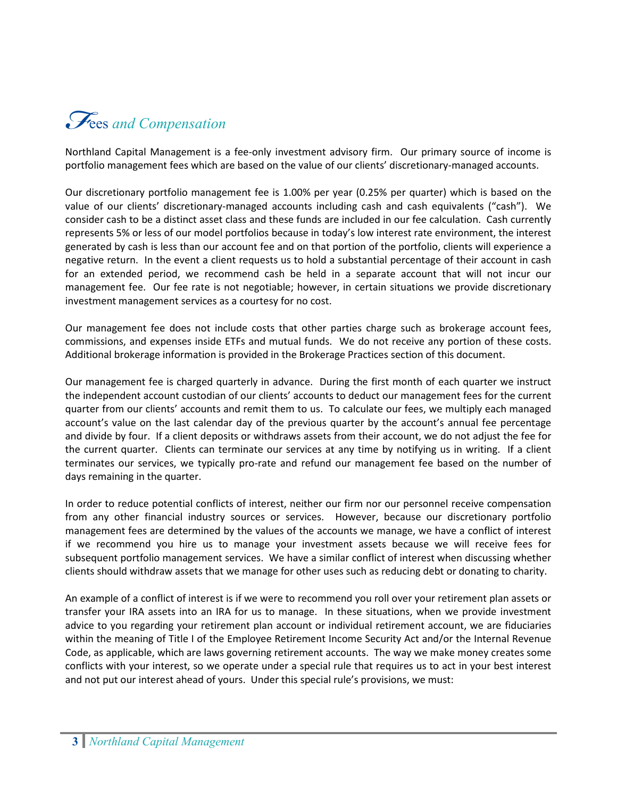

Northland Capital Management is a fee-only investment advisory firm. Our primary source of income is portfolio management fees which are based on the value of our clients' discretionary-managed accounts.

Our discretionary portfolio management fee is 1.00% per year (0.25% per quarter) which is based on the value of our clients' discretionary-managed accounts including cash and cash equivalents ("cash"). We consider cash to be a distinct asset class and these funds are included in our fee calculation. Cash currently represents 5% or less of our model portfolios because in today's low interest rate environment, the interest generated by cash is less than our account fee and on that portion of the portfolio, clients will experience a negative return. In the event a client requests us to hold a substantial percentage of their account in cash for an extended period, we recommend cash be held in a separate account that will not incur our management fee. Our fee rate is not negotiable; however, in certain situations we provide discretionary investment management services as a courtesy for no cost.

Our management fee does not include costs that other parties charge such as brokerage account fees, commissions, and expenses inside ETFs and mutual funds. We do not receive any portion of these costs. Additional brokerage information is provided in the Brokerage Practices section of this document.

Our management fee is charged quarterly in advance. During the first month of each quarter we instruct the independent account custodian of our clients' accounts to deduct our management fees for the current quarter from our clients' accounts and remit them to us. To calculate our fees, we multiply each managed account's value on the last calendar day of the previous quarter by the account's annual fee percentage and divide by four. If a client deposits or withdraws assets from their account, we do not adjust the fee for the current quarter. Clients can terminate our services at any time by notifying us in writing. If a client terminates our services, we typically pro-rate and refund our management fee based on the number of days remaining in the quarter.

In order to reduce potential conflicts of interest, neither our firm nor our personnel receive compensation from any other financial industry sources or services. However, because our discretionary portfolio management fees are determined by the values of the accounts we manage, we have a conflict of interest if we recommend you hire us to manage your investment assets because we will receive fees for subsequent portfolio management services. We have a similar conflict of interest when discussing whether clients should withdraw assets that we manage for other uses such as reducing debt or donating to charity.

An example of a conflict of interest is if we were to recommend you roll over your retirement plan assets or transfer your IRA assets into an IRA for us to manage. In these situations, when we provide investment advice to you regarding your retirement plan account or individual retirement account, we are fiduciaries within the meaning of Title I of the Employee Retirement Income Security Act and/or the Internal Revenue Code, as applicable, which are laws governing retirement accounts. The way we make money creates some conflicts with your interest, so we operate under a special rule that requires us to act in your best interest and not put our interest ahead of yours. Under this special rule's provisions, we must: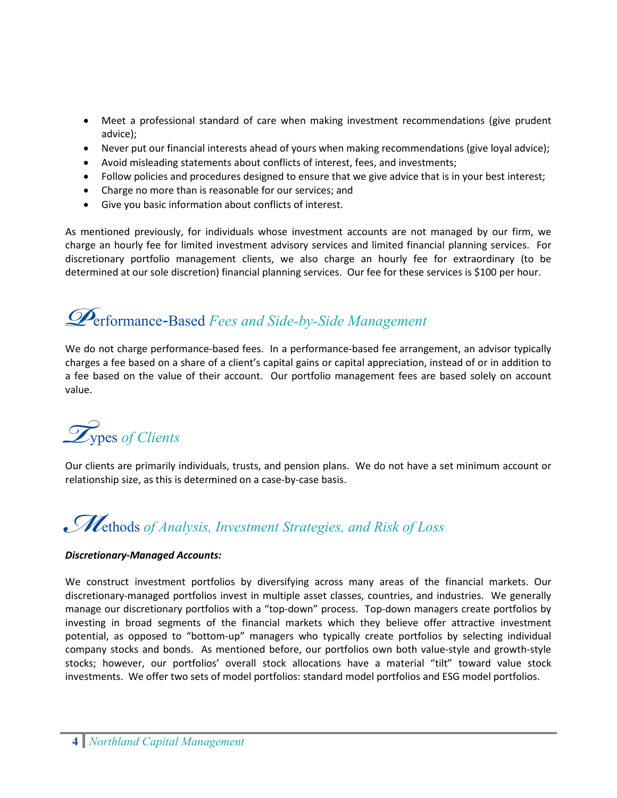- Meet a professional standard of care when making investment recommendations (give prudent advice);
- Never put our financial interests ahead of yours when making recommendations (give loyal advice);
- Avoid misleading statements about conflicts of interest, fees, and investments;
- Follow policies and procedures designed to ensure that we give advice that is in your best interest;
- Charge no more than is reasonable for our services; and
- Give you basic information about conflicts of interest.

As mentioned previously, for individuals whose investment accounts are not managed by our firm, we charge an hourly fee for limited investment advisory services and limited financial planning services. For discretionary portfolio management clients, we also charge an hourly fee for extraordinary (to be determined at our sole discretion) financial planning services. Our fee for these services is \$100 per hour.

### *P*erformance-Based *Fees and Side-by-Side Management*

We do not charge performance-based fees. In a performance-based fee arrangement, an advisor typically charges a fee based on a share of a client's capital gains or capital appreciation, instead of or in addition to a fee based on the value of their account. Our portfolio management fees are based solely on account value.

*T*ypes *of Clients*

Our clients are primarily individuals, trusts, and pension plans. We do not have a set minimum account or relationship size, as this is determined on a case-by-case basis.

# *M*ethods *of Analysis, Investment Strategies, and Risk of Loss*

### *Discretionary-Managed Accounts:*

We construct investment portfolios by diversifying across many areas of the financial markets. Our discretionary-managed portfolios invest in multiple asset classes, countries, and industries. We generally manage our discretionary portfolios with a "top-down" process. Top-down managers create portfolios by investing in broad segments of the financial markets which they believe offer attractive investment potential, as opposed to "bottom-up" managers who typically create portfolios by selecting individual company stocks and bonds. As mentioned before, our portfolios own both value-style and growth-style stocks; however, our portfolios' overall stock allocations have a material "tilt" toward value stock investments. We offer two sets of model portfolios: standard model portfolios and ESG model portfolios.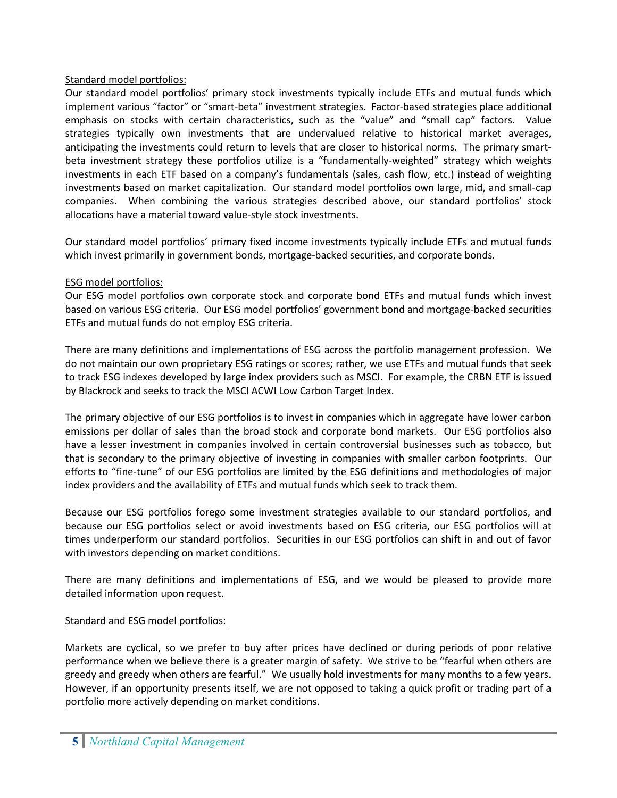### Standard model portfolios:

Our standard model portfolios' primary stock investments typically include ETFs and mutual funds which implement various "factor" or "smart-beta" investment strategies. Factor-based strategies place additional emphasis on stocks with certain characteristics, such as the "value" and "small cap" factors. Value strategies typically own investments that are undervalued relative to historical market averages, anticipating the investments could return to levels that are closer to historical norms. The primary smartbeta investment strategy these portfolios utilize is a "fundamentally-weighted" strategy which weights investments in each ETF based on a company's fundamentals (sales, cash flow, etc.) instead of weighting investments based on market capitalization. Our standard model portfolios own large, mid, and small-cap companies. When combining the various strategies described above, our standard portfolios' stock allocations have a material toward value-style stock investments.

Our standard model portfolios' primary fixed income investments typically include ETFs and mutual funds which invest primarily in government bonds, mortgage-backed securities, and corporate bonds.

### ESG model portfolios:

Our ESG model portfolios own corporate stock and corporate bond ETFs and mutual funds which invest based on various ESG criteria. Our ESG model portfolios' government bond and mortgage-backed securities ETFs and mutual funds do not employ ESG criteria.

There are many definitions and implementations of ESG across the portfolio management profession. We do not maintain our own proprietary ESG ratings or scores; rather, we use ETFs and mutual funds that seek to track ESG indexes developed by large index providers such as MSCI. For example, the CRBN ETF is issued by Blackrock and seeks to track the MSCI ACWI Low Carbon Target Index.

The primary objective of our ESG portfolios is to invest in companies which in aggregate have lower carbon emissions per dollar of sales than the broad stock and corporate bond markets. Our ESG portfolios also have a lesser investment in companies involved in certain controversial businesses such as tobacco, but that is secondary to the primary objective of investing in companies with smaller carbon footprints. Our efforts to "fine-tune" of our ESG portfolios are limited by the ESG definitions and methodologies of major index providers and the availability of ETFs and mutual funds which seek to track them.

Because our ESG portfolios forego some investment strategies available to our standard portfolios, and because our ESG portfolios select or avoid investments based on ESG criteria, our ESG portfolios will at times underperform our standard portfolios. Securities in our ESG portfolios can shift in and out of favor with investors depending on market conditions.

There are many definitions and implementations of ESG, and we would be pleased to provide more detailed information upon request.

### Standard and ESG model portfolios:

Markets are cyclical, so we prefer to buy after prices have declined or during periods of poor relative performance when we believe there is a greater margin of safety. We strive to be "fearful when others are greedy and greedy when others are fearful." We usually hold investments for many months to a few years. However, if an opportunity presents itself, we are not opposed to taking a quick profit or trading part of a portfolio more actively depending on market conditions.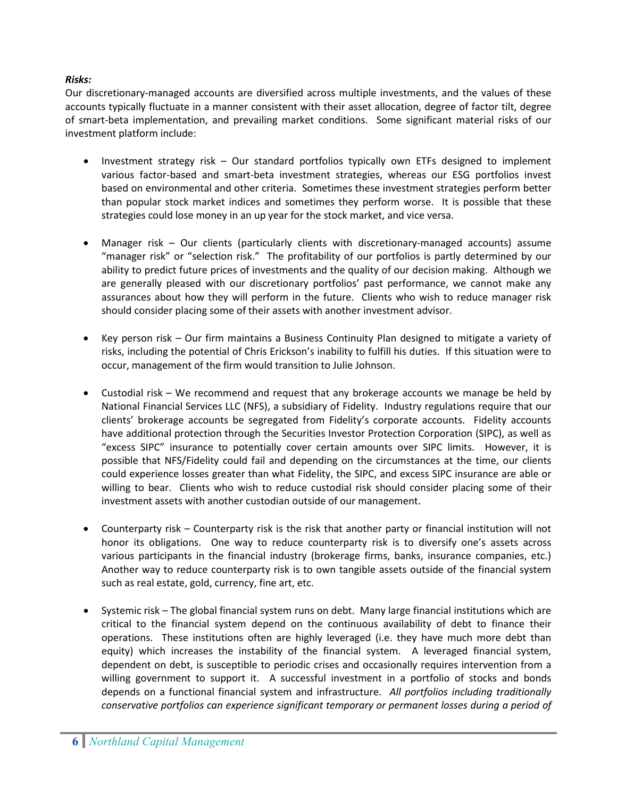### *Risks:*

Our discretionary-managed accounts are diversified across multiple investments, and the values of these accounts typically fluctuate in a manner consistent with their asset allocation, degree of factor tilt, degree of smart-beta implementation, and prevailing market conditions. Some significant material risks of our investment platform include:

- Investment strategy risk Our standard portfolios typically own ETFs designed to implement various factor-based and smart-beta investment strategies, whereas our ESG portfolios invest based on environmental and other criteria. Sometimes these investment strategies perform better than popular stock market indices and sometimes they perform worse. It is possible that these strategies could lose money in an up year for the stock market, and vice versa.
- Manager risk Our clients (particularly clients with discretionary-managed accounts) assume "manager risk" or "selection risk." The profitability of our portfolios is partly determined by our ability to predict future prices of investments and the quality of our decision making. Although we are generally pleased with our discretionary portfolios' past performance, we cannot make any assurances about how they will perform in the future. Clients who wish to reduce manager risk should consider placing some of their assets with another investment advisor.
- Key person risk Our firm maintains a Business Continuity Plan designed to mitigate a variety of risks, including the potential of Chris Erickson's inability to fulfill his duties. If this situation were to occur, management of the firm would transition to Julie Johnson.
- Custodial risk We recommend and request that any brokerage accounts we manage be held by National Financial Services LLC (NFS), a subsidiary of Fidelity. Industry regulations require that our clients' brokerage accounts be segregated from Fidelity's corporate accounts. Fidelity accounts have additional protection through the Securities Investor Protection Corporation (SIPC), as well as "excess SIPC" insurance to potentially cover certain amounts over SIPC limits. However, it is possible that NFS/Fidelity could fail and depending on the circumstances at the time, our clients could experience losses greater than what Fidelity, the SIPC, and excess SIPC insurance are able or willing to bear. Clients who wish to reduce custodial risk should consider placing some of their investment assets with another custodian outside of our management.
- Counterparty risk Counterparty risk is the risk that another party or financial institution will not honor its obligations. One way to reduce counterparty risk is to diversify one's assets across various participants in the financial industry (brokerage firms, banks, insurance companies, etc.) Another way to reduce counterparty risk is to own tangible assets outside of the financial system such as real estate, gold, currency, fine art, etc.
- Systemic risk The global financial system runs on debt. Many large financial institutions which are critical to the financial system depend on the continuous availability of debt to finance their operations. These institutions often are highly leveraged (i.e. they have much more debt than equity) which increases the instability of the financial system. A leveraged financial system, dependent on debt, is susceptible to periodic crises and occasionally requires intervention from a willing government to support it. A successful investment in a portfolio of stocks and bonds depends on a functional financial system and infrastructure. *All portfolios including traditionally conservative portfolios can experience significant temporary or permanent losses during a period of*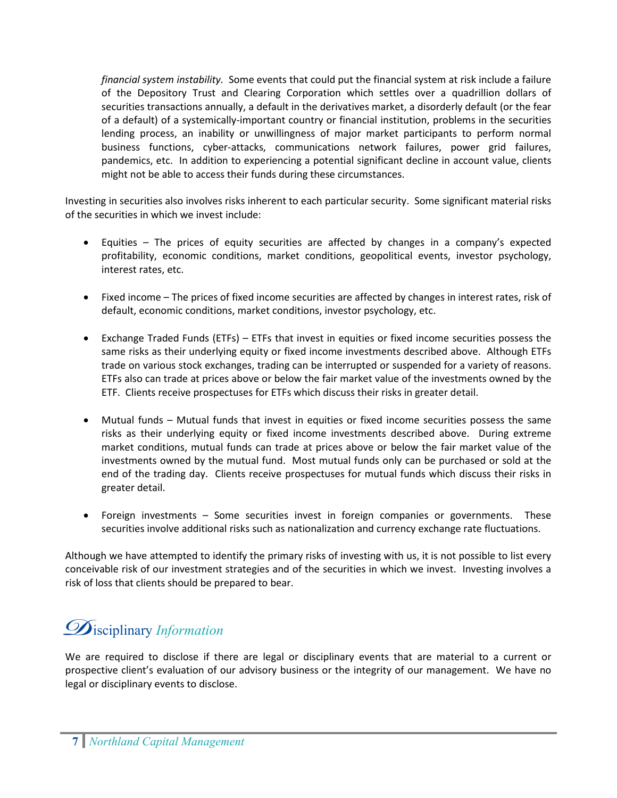*financial system instability.* Some events that could put the financial system at risk include a failure of the Depository Trust and Clearing Corporation which settles over a quadrillion dollars of securities transactions annually, a default in the derivatives market, a disorderly default (or the fear of a default) of a systemically-important country or financial institution, problems in the securities lending process, an inability or unwillingness of major market participants to perform normal business functions, cyber-attacks, communications network failures, power grid failures, pandemics, etc. In addition to experiencing a potential significant decline in account value, clients might not be able to access their funds during these circumstances.

Investing in securities also involves risks inherent to each particular security. Some significant material risks of the securities in which we invest include:

- Equities The prices of equity securities are affected by changes in a company's expected profitability, economic conditions, market conditions, geopolitical events, investor psychology, interest rates, etc.
- Fixed income The prices of fixed income securities are affected by changes in interest rates, risk of default, economic conditions, market conditions, investor psychology, etc.
- Exchange Traded Funds (ETFs) ETFs that invest in equities or fixed income securities possess the same risks as their underlying equity or fixed income investments described above. Although ETFs trade on various stock exchanges, trading can be interrupted or suspended for a variety of reasons. ETFs also can trade at prices above or below the fair market value of the investments owned by the ETF. Clients receive prospectuses for ETFs which discuss their risks in greater detail.
- Mutual funds Mutual funds that invest in equities or fixed income securities possess the same risks as their underlying equity or fixed income investments described above. During extreme market conditions, mutual funds can trade at prices above or below the fair market value of the investments owned by the mutual fund. Most mutual funds only can be purchased or sold at the end of the trading day. Clients receive prospectuses for mutual funds which discuss their risks in greater detail.
- Foreign investments Some securities invest in foreign companies or governments. These securities involve additional risks such as nationalization and currency exchange rate fluctuations.

Although we have attempted to identify the primary risks of investing with us, it is not possible to list every conceivable risk of our investment strategies and of the securities in which we invest. Investing involves a risk of loss that clients should be prepared to bear.

## *D*isciplinary *Information*

We are required to disclose if there are legal or disciplinary events that are material to a current or prospective client's evaluation of our advisory business or the integrity of our management. We have no legal or disciplinary events to disclose.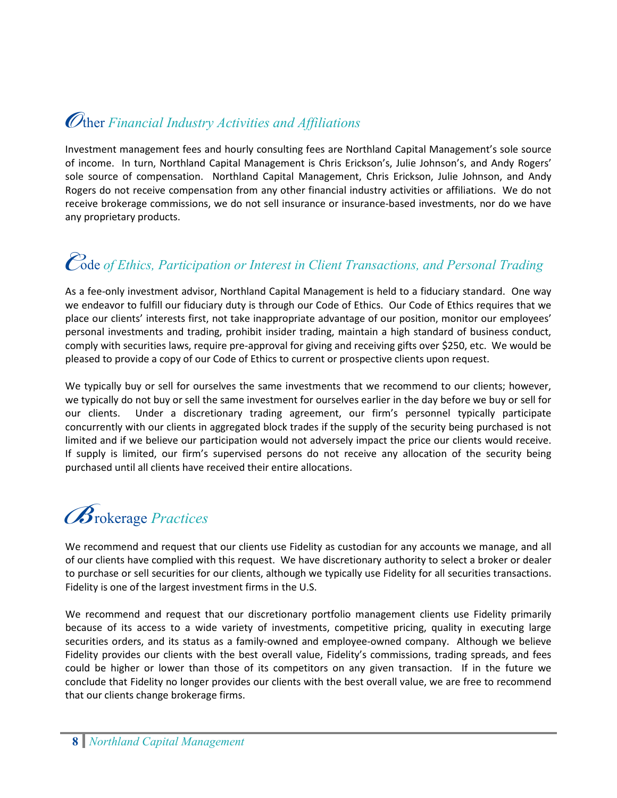### *O*ther *Financial Industry Activities and Affiliations*

Investment management fees and hourly consulting fees are Northland Capital Management's sole source of income. In turn, Northland Capital Management is Chris Erickson's, Julie Johnson's, and Andy Rogers' sole source of compensation. Northland Capital Management, Chris Erickson, Julie Johnson, and Andy Rogers do not receive compensation from any other financial industry activities or affiliations. We do not receive brokerage commissions, we do not sell insurance or insurance-based investments, nor do we have any proprietary products.

## *C*ode *of Ethics, Participation or Interest in Client Transactions, and Personal Trading*

As a fee-only investment advisor, Northland Capital Management is held to a fiduciary standard. One way we endeavor to fulfill our fiduciary duty is through our Code of Ethics. Our Code of Ethics requires that we place our clients' interests first, not take inappropriate advantage of our position, monitor our employees' personal investments and trading, prohibit insider trading, maintain a high standard of business conduct, comply with securities laws, require pre-approval for giving and receiving gifts over \$250, etc. We would be pleased to provide a copy of our Code of Ethics to current or prospective clients upon request.

We typically buy or sell for ourselves the same investments that we recommend to our clients; however, we typically do not buy or sell the same investment for ourselves earlier in the day before we buy or sell for our clients. Under a discretionary trading agreement, our firm's personnel typically participate concurrently with our clients in aggregated block trades if the supply of the security being purchased is not limited and if we believe our participation would not adversely impact the price our clients would receive. If supply is limited, our firm's supervised persons do not receive any allocation of the security being purchased until all clients have received their entire allocations.

# *B*rokerage *Practices*

We recommend and request that our clients use Fidelity as custodian for any accounts we manage, and all of our clients have complied with this request. We have discretionary authority to select a broker or dealer to purchase or sell securities for our clients, although we typically use Fidelity for all securities transactions. Fidelity is one of the largest investment firms in the U.S.

We recommend and request that our discretionary portfolio management clients use Fidelity primarily because of its access to a wide variety of investments, competitive pricing, quality in executing large securities orders, and its status as a family-owned and employee-owned company. Although we believe Fidelity provides our clients with the best overall value, Fidelity's commissions, trading spreads, and fees could be higher or lower than those of its competitors on any given transaction. If in the future we conclude that Fidelity no longer provides our clients with the best overall value, we are free to recommend that our clients change brokerage firms.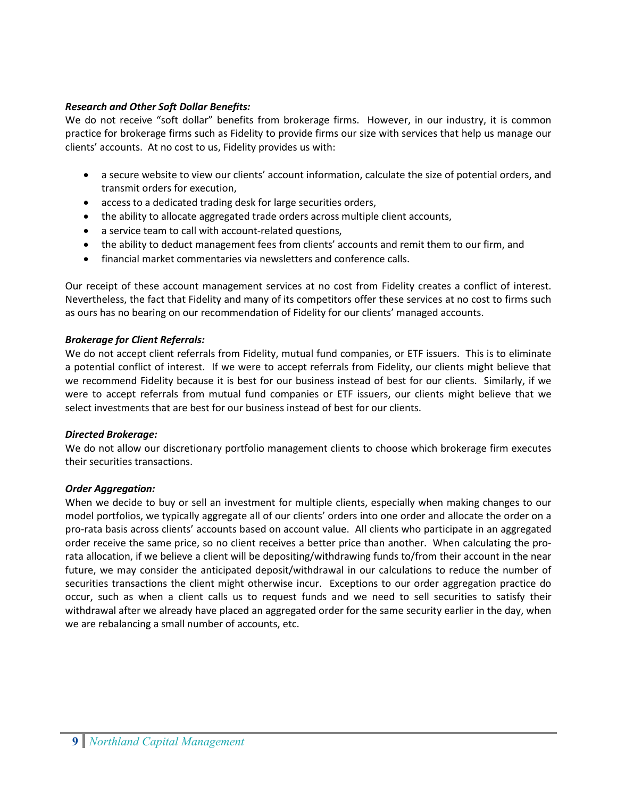### *Research and Other Soft Dollar Benefits:*

We do not receive "soft dollar" benefits from brokerage firms. However, in our industry, it is common practice for brokerage firms such as Fidelity to provide firms our size with services that help us manage our clients' accounts. At no cost to us, Fidelity provides us with:

- a secure website to view our clients' account information, calculate the size of potential orders, and transmit orders for execution,
- access to a dedicated trading desk for large securities orders,
- the ability to allocate aggregated trade orders across multiple client accounts,
- a service team to call with account-related questions,
- the ability to deduct management fees from clients' accounts and remit them to our firm, and
- financial market commentaries via newsletters and conference calls.

Our receipt of these account management services at no cost from Fidelity creates a conflict of interest. Nevertheless, the fact that Fidelity and many of its competitors offer these services at no cost to firms such as ours has no bearing on our recommendation of Fidelity for our clients' managed accounts.

### *Brokerage for Client Referrals:*

We do not accept client referrals from Fidelity, mutual fund companies, or ETF issuers. This is to eliminate a potential conflict of interest. If we were to accept referrals from Fidelity, our clients might believe that we recommend Fidelity because it is best for our business instead of best for our clients. Similarly, if we were to accept referrals from mutual fund companies or ETF issuers, our clients might believe that we select investments that are best for our business instead of best for our clients.

### *Directed Brokerage:*

We do not allow our discretionary portfolio management clients to choose which brokerage firm executes their securities transactions.

### *Order Aggregation:*

When we decide to buy or sell an investment for multiple clients, especially when making changes to our model portfolios, we typically aggregate all of our clients' orders into one order and allocate the order on a pro-rata basis across clients' accounts based on account value. All clients who participate in an aggregated order receive the same price, so no client receives a better price than another. When calculating the prorata allocation, if we believe a client will be depositing/withdrawing funds to/from their account in the near future, we may consider the anticipated deposit/withdrawal in our calculations to reduce the number of securities transactions the client might otherwise incur. Exceptions to our order aggregation practice do occur, such as when a client calls us to request funds and we need to sell securities to satisfy their withdrawal after we already have placed an aggregated order for the same security earlier in the day, when we are rebalancing a small number of accounts, etc.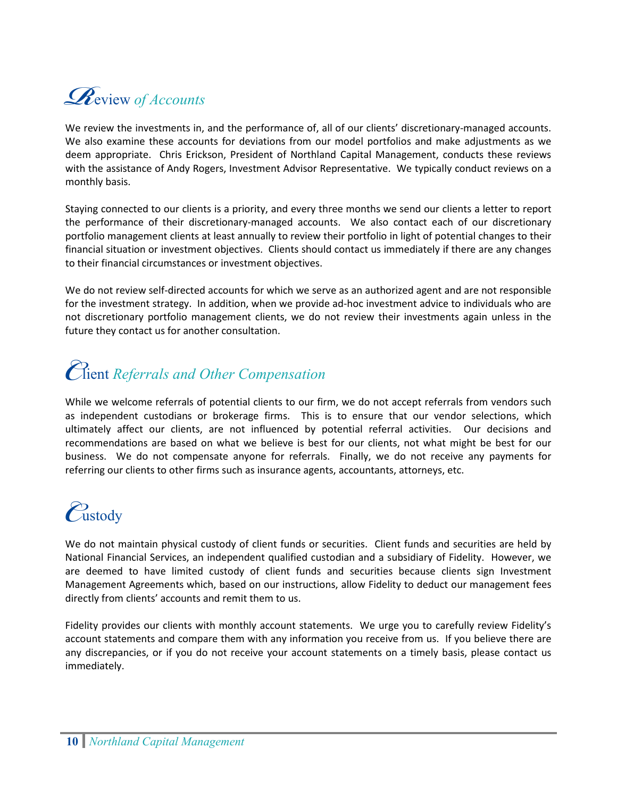## *R*eview *of Accounts*

We review the investments in, and the performance of, all of our clients' discretionary-managed accounts. We also examine these accounts for deviations from our model portfolios and make adjustments as we deem appropriate. Chris Erickson, President of Northland Capital Management, conducts these reviews with the assistance of Andy Rogers, Investment Advisor Representative. We typically conduct reviews on a monthly basis.

Staying connected to our clients is a priority, and every three months we send our clients a letter to report the performance of their discretionary-managed accounts. We also contact each of our discretionary portfolio management clients at least annually to review their portfolio in light of potential changes to their financial situation or investment objectives. Clients should contact us immediately if there are any changes to their financial circumstances or investment objectives.

We do not review self-directed accounts for which we serve as an authorized agent and are not responsible for the investment strategy. In addition, when we provide ad-hoc investment advice to individuals who are not discretionary portfolio management clients, we do not review their investments again unless in the future they contact us for another consultation.

# *C*lient *Referrals and Other Compensation*

While we welcome referrals of potential clients to our firm, we do not accept referrals from vendors such as independent custodians or brokerage firms. This is to ensure that our vendor selections, which ultimately affect our clients, are not influenced by potential referral activities. Our decisions and recommendations are based on what we believe is best for our clients, not what might be best for our business. We do not compensate anyone for referrals. Finally, we do not receive any payments for referring our clients to other firms such as insurance agents, accountants, attorneys, etc.

# *C*ustody

We do not maintain physical custody of client funds or securities. Client funds and securities are held by National Financial Services, an independent qualified custodian and a subsidiary of Fidelity. However, we are deemed to have limited custody of client funds and securities because clients sign Investment Management Agreements which, based on our instructions, allow Fidelity to deduct our management fees directly from clients' accounts and remit them to us.

Fidelity provides our clients with monthly account statements. We urge you to carefully review Fidelity's account statements and compare them with any information you receive from us. If you believe there are any discrepancies, or if you do not receive your account statements on a timely basis, please contact us immediately.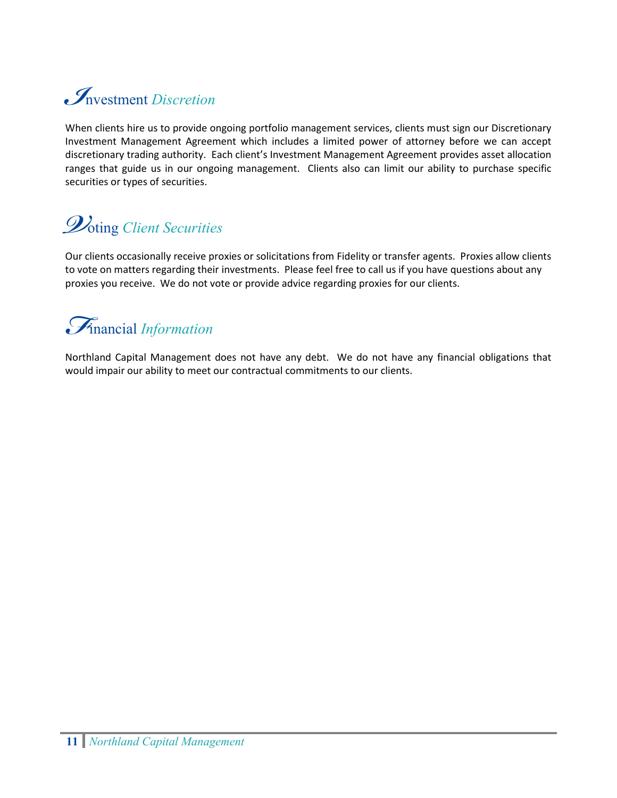# *I*nvestment *Discretion*

When clients hire us to provide ongoing portfolio management services, clients must sign our Discretionary Investment Management Agreement which includes a limited power of attorney before we can accept discretionary trading authority. Each client's Investment Management Agreement provides asset allocation ranges that guide us in our ongoing management. Clients also can limit our ability to purchase specific securities or types of securities.

# *V*oting *Client Securities*

Our clients occasionally receive proxies or solicitations from Fidelity or transfer agents. Proxies allow clients to vote on matters regarding their investments. Please feel free to call us if you have questions about any proxies you receive. We do not vote or provide advice regarding proxies for our clients.

## *F*inancial *Information*

Northland Capital Management does not have any debt. We do not have any financial obligations that would impair our ability to meet our contractual commitments to our clients.